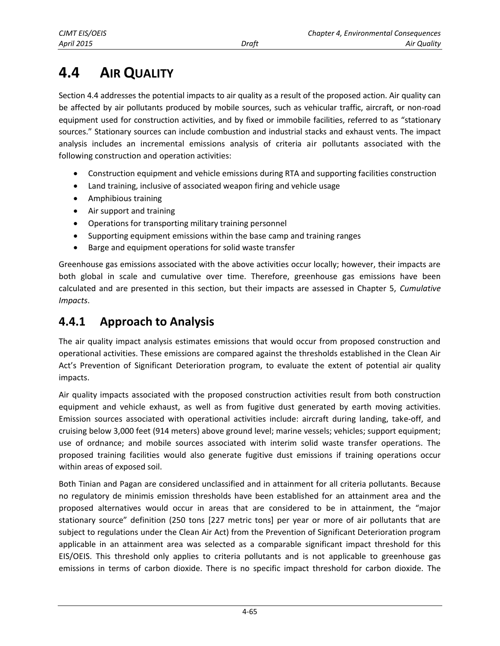# **4.4 AIR QUALITY**

Section 4.4 addresses the potential impacts to air quality as a result of the proposed action. Air quality can be affected by air pollutants produced by mobile sources, such as vehicular traffic, aircraft, or non-road equipment used for construction activities, and by fixed or immobile facilities, referred to as "stationary sources." Stationary sources can include combustion and industrial stacks and exhaust vents. The impact analysis includes an incremental emissions analysis of criteria air pollutants associated with the following construction and operation activities:

- Construction equipment and vehicle emissions during RTA and supporting facilities construction
- Land training, inclusive of associated weapon firing and vehicle usage
- Amphibious training
- Air support and training
- Operations for transporting military training personnel
- Supporting equipment emissions within the base camp and training ranges
- Barge and equipment operations for solid waste transfer

Greenhouse gas emissions associated with the above activities occur locally; however, their impacts are both global in scale and cumulative over time. Therefore, greenhouse gas emissions have been calculated and are presented in this section, but their impacts are assessed in Chapter 5, *Cumulative Impacts*.

# **4.4.1 Approach to Analysis**

The air quality impact analysis estimates emissions that would occur from proposed construction and operational activities. These emissions are compared against the thresholds established in the Clean Air Act's Prevention of Significant Deterioration program, to evaluate the extent of potential air quality impacts.

Air quality impacts associated with the proposed construction activities result from both construction equipment and vehicle exhaust, as well as from fugitive dust generated by earth moving activities. Emission sources associated with operational activities include: aircraft during landing, take-off, and cruising below 3,000 feet (914 meters) above ground level; marine vessels; vehicles; support equipment; use of ordnance; and mobile sources associated with interim solid waste transfer operations. The proposed training facilities would also generate fugitive dust emissions if training operations occur within areas of exposed soil.

Both Tinian and Pagan are considered unclassified and in attainment for all criteria pollutants. Because no regulatory de minimis emission thresholds have been established for an attainment area and the proposed alternatives would occur in areas that are considered to be in attainment, the "major stationary source" definition (250 tons [227 metric tons] per year or more of air pollutants that are subject to regulations under the Clean Air Act) from the Prevention of Significant Deterioration program applicable in an attainment area was selected as a comparable significant impact threshold for this EIS/OEIS. This threshold only applies to criteria pollutants and is not applicable to greenhouse gas emissions in terms of carbon dioxide. There is no specific impact threshold for carbon dioxide. The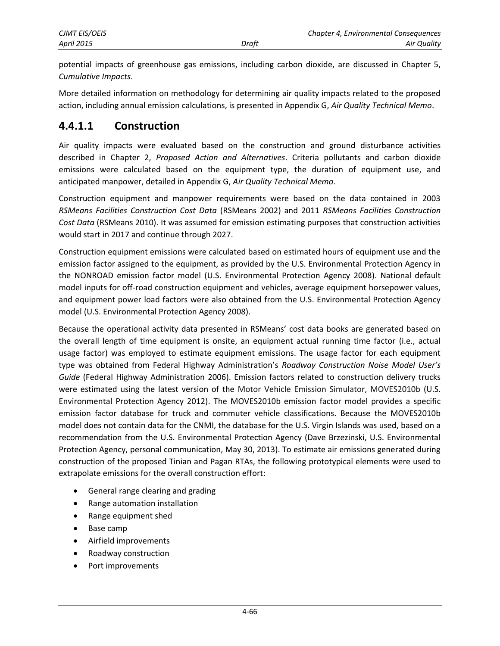potential impacts of greenhouse gas emissions, including carbon dioxide, are discussed in Chapter 5, *Cumulative Impacts*.

More detailed information on methodology for determining air quality impacts related to the proposed action, including annual emission calculations, is presented in Appendix G, *Air Quality Technical Memo*.

### **4.4.1.1 Construction**

Air quality impacts were evaluated based on the construction and ground disturbance activities described in Chapter 2, *Proposed Action and Alternatives*. Criteria pollutants and carbon dioxide emissions were calculated based on the equipment type, the duration of equipment use, and anticipated manpower, detailed in Appendix G, *Air Quality Technical Memo*.

Construction equipment and manpower requirements were based on the data contained in 2003 *RSMeans Facilities Construction Cost Data* (RSMeans 2002) and 2011 *RSMeans Facilities Construction Cost Data* (RSMeans 2010). It was assumed for emission estimating purposes that construction activities would start in 2017 and continue through 2027.

Construction equipment emissions were calculated based on estimated hours of equipment use and the emission factor assigned to the equipment, as provided by the U.S. Environmental Protection Agency in the NONROAD emission factor model (U.S. Environmental Protection Agency 2008). National default model inputs for off-road construction equipment and vehicles, average equipment horsepower values, and equipment power load factors were also obtained from the U.S. Environmental Protection Agency model (U.S. Environmental Protection Agency 2008).

Because the operational activity data presented in RSMeans' cost data books are generated based on the overall length of time equipment is onsite, an equipment actual running time factor (i.e., actual usage factor) was employed to estimate equipment emissions. The usage factor for each equipment type was obtained from Federal Highway Administration's *Roadway Construction Noise Model User's Guide* (Federal Highway Administration 2006). Emission factors related to construction delivery trucks were estimated using the latest version of the Motor Vehicle Emission Simulator, MOVES2010b (U.S. Environmental Protection Agency 2012). The MOVES2010b emission factor model provides a specific emission factor database for truck and commuter vehicle classifications. Because the MOVES2010b model does not contain data for the CNMI, the database for the U.S. Virgin Islands was used, based on a recommendation from the U.S. Environmental Protection Agency (Dave Brzezinski, U.S. Environmental Protection Agency, personal communication, May 30, 2013). To estimate air emissions generated during construction of the proposed Tinian and Pagan RTAs, the following prototypical elements were used to extrapolate emissions for the overall construction effort:

- General range clearing and grading
- Range automation installation
- Range equipment shed
- Base camp
- Airfield improvements
- Roadway construction
- Port improvements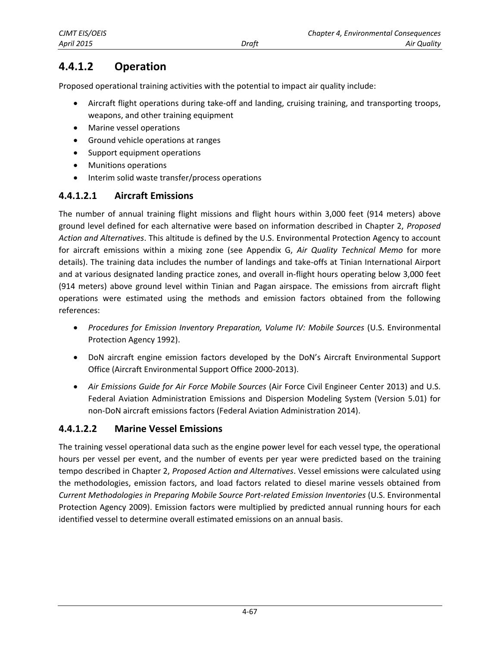# **4.4.1.2 Operation**

Proposed operational training activities with the potential to impact air quality include:

- Aircraft flight operations during take-off and landing, cruising training, and transporting troops, weapons, and other training equipment
- Marine vessel operations
- Ground vehicle operations at ranges
- Support equipment operations
- Munitions operations
- Interim solid waste transfer/process operations

### **4.4.1.2.1 Aircraft Emissions**

The number of annual training flight missions and flight hours within 3,000 feet (914 meters) above ground level defined for each alternative were based on information described in Chapter 2, *Proposed Action and Alternatives*. This altitude is defined by the U.S. Environmental Protection Agency to account for aircraft emissions within a mixing zone (see Appendix G, *Air Quality Technical Memo* for more details). The training data includes the number of landings and take-offs at Tinian International Airport and at various designated landing practice zones, and overall in-flight hours operating below 3,000 feet (914 meters) above ground level within Tinian and Pagan airspace. The emissions from aircraft flight operations were estimated using the methods and emission factors obtained from the following references:

- *Procedures for Emission Inventory Preparation, Volume IV: Mobile Sources* (U.S. Environmental Protection Agency 1992).
- DoN aircraft engine emission factors developed by the DoN's Aircraft Environmental Support Office (Aircraft Environmental Support Office 2000-2013).
- *Air Emissions Guide for Air Force Mobile Sources* (Air Force Civil Engineer Center 2013) and U.S. Federal Aviation Administration Emissions and Dispersion Modeling System (Version 5.01) for non-DoN aircraft emissions factors (Federal Aviation Administration 2014).

### **4.4.1.2.2 Marine Vessel Emissions**

The training vessel operational data such as the engine power level for each vessel type, the operational hours per vessel per event, and the number of events per year were predicted based on the training tempo described in Chapter 2, *Proposed Action and Alternatives*. Vessel emissions were calculated using the methodologies, emission factors, and load factors related to diesel marine vessels obtained from *Current Methodologies in Preparing Mobile Source Port-related Emission Inventories* (U.S. Environmental Protection Agency 2009). Emission factors were multiplied by predicted annual running hours for each identified vessel to determine overall estimated emissions on an annual basis.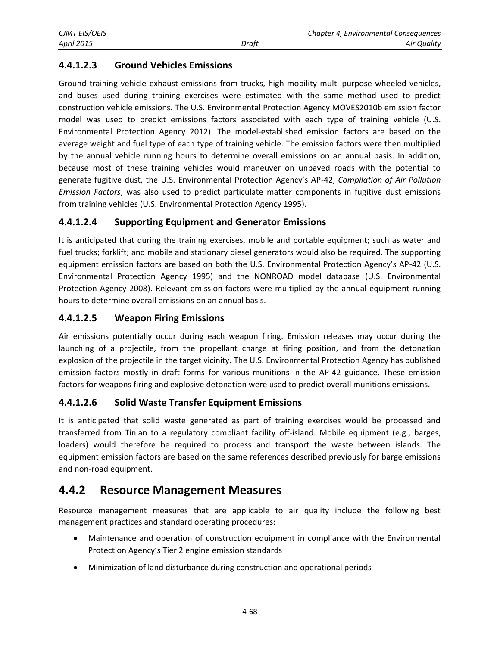### **4.4.1.2.3 Ground Vehicles Emissions**

Ground training vehicle exhaust emissions from trucks, high mobility multi-purpose wheeled vehicles, and buses used during training exercises were estimated with the same method used to predict construction vehicle emissions. The U.S. Environmental Protection Agency MOVES2010b emission factor model was used to predict emissions factors associated with each type of training vehicle (U.S. Environmental Protection Agency 2012). The model-established emission factors are based on the average weight and fuel type of each type of training vehicle. The emission factors were then multiplied by the annual vehicle running hours to determine overall emissions on an annual basis. In addition, because most of these training vehicles would maneuver on unpaved roads with the potential to generate fugitive dust, the U.S. Environmental Protection Agency's AP-42, *Compilation of Air Pollution Emission Factors*, was also used to predict particulate matter components in fugitive dust emissions from training vehicles (U.S. Environmental Protection Agency 1995).

### **4.4.1.2.4 Supporting Equipment and Generator Emissions**

It is anticipated that during the training exercises, mobile and portable equipment; such as water and fuel trucks; forklift; and mobile and stationary diesel generators would also be required. The supporting equipment emission factors are based on both the U.S. Environmental Protection Agency's AP-42 (U.S. Environmental Protection Agency 1995) and the NONROAD model database (U.S. Environmental Protection Agency 2008). Relevant emission factors were multiplied by the annual equipment running hours to determine overall emissions on an annual basis.

#### **4.4.1.2.5 Weapon Firing Emissions**

Air emissions potentially occur during each weapon firing. Emission releases may occur during the launching of a projectile, from the propellant charge at firing position, and from the detonation explosion of the projectile in the target vicinity. The U.S. Environmental Protection Agency has published emission factors mostly in draft forms for various munitions in the AP-42 guidance. These emission factors for weapons firing and explosive detonation were used to predict overall munitions emissions.

#### **4.4.1.2.6 Solid Waste Transfer Equipment Emissions**

It is anticipated that solid waste generated as part of training exercises would be processed and transferred from Tinian to a regulatory compliant facility off-island. Mobile equipment (e.g., barges, loaders) would therefore be required to process and transport the waste between islands. The equipment emission factors are based on the same references described previously for barge emissions and non-road equipment.

### **4.4.2 Resource Management Measures**

Resource management measures that are applicable to air quality include the following best management practices and standard operating procedures:

- Maintenance and operation of construction equipment in compliance with the Environmental Protection Agency's Tier 2 engine emission standards
- Minimization of land disturbance during construction and operational periods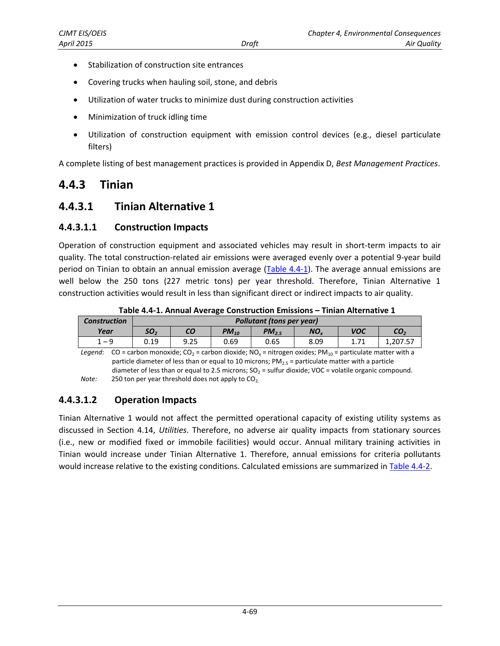- Stabilization of construction site entrances
- Covering trucks when hauling soil, stone, and debris
- Utilization of water trucks to minimize dust during construction activities
- Minimization of truck idling time
- Utilization of construction equipment with emission control devices (e.g., diesel particulate filters)

A complete listing of best management practices is provided in Appendix D, *Best Management Practices*.

### **4.4.3 Tinian**

### <span id="page-4-1"></span>**4.4.3.1 Tinian Alternative 1**

#### **4.4.3.1.1 Construction Impacts**

Operation of construction equipment and associated vehicles may result in short-term impacts to air quality. The total construction-related air emissions were averaged evenly over a potential 9-year build period on Tinian to obtain an annual emission average [\(Table 4.4-1\)](#page-4-0). The average annual emissions are well below the 250 tons (227 metric tons) per year threshold. Therefore, Tinian Alternative 1 construction activities would result in less than significant direct or indirect impacts to air quality.

<span id="page-4-0"></span>

| <b>Construction</b> |      | Pollutant (tons per year) |           |            |                                                                                                                                  |            |                 |  |  |
|---------------------|------|---------------------------|-----------|------------|----------------------------------------------------------------------------------------------------------------------------------|------------|-----------------|--|--|
| Year                | SO,  | CО                        | $PM_{10}$ | $PM_{2.5}$ | NO.                                                                                                                              | <b>VOC</b> | CO <sub>2</sub> |  |  |
| $1 - 9$             | 0.19 | 9.25                      | 0.69      | 0.65       | 8.09                                                                                                                             |            | 1.207.57        |  |  |
| Leaend:             |      |                           |           |            | $CO$ = carbon monoxide: $CO_2$ = carbon dioxide: NO <sub>2</sub> = nitrogen oxides: PM <sub>10</sub> = particulate matter with a |            |                 |  |  |

**Table 4.4-1. Annual Average Construction Emissions – Tinian Alternative 1** 

*Legend*: CO = carbon monoxide; CO<sub>2</sub> = carbon dioxide; NO<sub>x</sub> = nitrogen oxides; PM<sub>10</sub> = particulate matter with a particle diameter of less than or equal to 10 microns;  $PM_{2.5}$  = particulate matter with a particle diameter of less than or equal to 2.5 microns;  $SO_2$  = sulfur dioxide; VOC = volatile organic compound. *Note:* 250 ton per year threshold does not apply to CO<sub>2.</sub>

#### **4.4.3.1.2 Operation Impacts**

Tinian Alternative 1 would not affect the permitted operational capacity of existing utility systems as discussed in Section 4.14, *Utilities*. Therefore, no adverse air quality impacts from stationary sources (i.e., new or modified fixed or immobile facilities) would occur. Annual military training activities in Tinian would increase under Tinian Alternative 1. Therefore, annual emissions for criteria pollutants would increase relative to the existing conditions. Calculated emissions are summarized in [Table 4.4-2.](#page-5-0)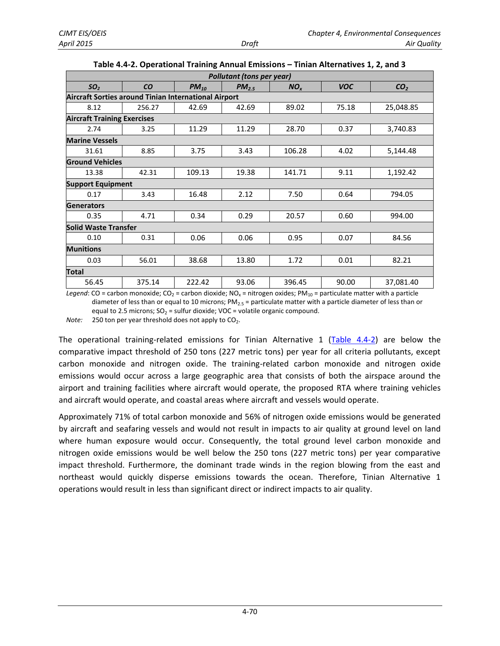<span id="page-5-0"></span>

| <b>Pollutant (tons per year)</b>                     |                                    |           |            |                 |            |                 |  |  |  |  |  |  |
|------------------------------------------------------|------------------------------------|-----------|------------|-----------------|------------|-----------------|--|--|--|--|--|--|
| SO <sub>2</sub>                                      | <b>CO</b>                          | $PM_{10}$ | $PM_{2.5}$ | NO <sub>x</sub> | <b>VOC</b> | CO <sub>2</sub> |  |  |  |  |  |  |
| Aircraft Sorties around Tinian International Airport |                                    |           |            |                 |            |                 |  |  |  |  |  |  |
| 8.12                                                 | 256.27                             | 42.69     | 42.69      | 89.02           | 75.18      | 25,048.85       |  |  |  |  |  |  |
|                                                      | <b>Aircraft Training Exercises</b> |           |            |                 |            |                 |  |  |  |  |  |  |
| 2.74                                                 | 3.25                               | 11.29     | 11.29      | 28.70           | 0.37       | 3,740.83        |  |  |  |  |  |  |
| <b>Marine Vessels</b>                                |                                    |           |            |                 |            |                 |  |  |  |  |  |  |
| 31.61                                                | 8.85                               | 3.75      | 3.43       | 106.28          | 4.02       | 5,144.48        |  |  |  |  |  |  |
| <b>Ground Vehicles</b>                               |                                    |           |            |                 |            |                 |  |  |  |  |  |  |
| 13.38                                                | 42.31                              | 109.13    | 19.38      | 141.71          | 9.11       | 1,192.42        |  |  |  |  |  |  |
| <b>Support Equipment</b>                             |                                    |           |            |                 |            |                 |  |  |  |  |  |  |
| 0.17                                                 | 3.43                               | 16.48     | 2.12       | 7.50            | 0.64       | 794.05          |  |  |  |  |  |  |
| <b>Generators</b>                                    |                                    |           |            |                 |            |                 |  |  |  |  |  |  |
| 0.35                                                 | 4.71                               | 0.34      | 0.29       | 20.57           | 0.60       | 994.00          |  |  |  |  |  |  |
| <b>Solid Waste Transfer</b>                          |                                    |           |            |                 |            |                 |  |  |  |  |  |  |
| 0.10                                                 | 0.31                               | 0.06      | 0.06       | 0.95            | 0.07       | 84.56           |  |  |  |  |  |  |
| <b>Munitions</b>                                     |                                    |           |            |                 |            |                 |  |  |  |  |  |  |
| 0.03                                                 | 56.01                              | 38.68     | 13.80      | 1.72            | 0.01       | 82.21           |  |  |  |  |  |  |
| Total                                                |                                    |           |            |                 |            |                 |  |  |  |  |  |  |
| 56.45                                                | 375.14                             | 222.42    | 93.06      | 396.45          | 90.00      | 37,081.40       |  |  |  |  |  |  |

|  |  |  | Table 4.4-2. Operational Training Annual Emissions - Tinian Alternatives 1, 2, and 3 |
|--|--|--|--------------------------------------------------------------------------------------|
|--|--|--|--------------------------------------------------------------------------------------|

*Legend*: CO = carbon monoxide; CO<sub>2</sub> = carbon dioxide; NO<sub>x</sub> = nitrogen oxides; PM<sub>10</sub> = particulate matter with a particle diameter of less than or equal to 10 microns;  $PM_{2.5}$  = particulate matter with a particle diameter of less than or equal to 2.5 microns;  $SO_2$  = sulfur dioxide; VOC = volatile organic compound.

*Note:* 250 ton per year threshold does not apply to CO<sub>2</sub>.

The operational training-related emissions for Tinian Alternative 1 [\(Table 4.4-2\)](#page-5-0) are below the comparative impact threshold of 250 tons (227 metric tons) per year for all criteria pollutants, except carbon monoxide and nitrogen oxide. The training-related carbon monoxide and nitrogen oxide emissions would occur across a large geographic area that consists of both the airspace around the airport and training facilities where aircraft would operate, the proposed RTA where training vehicles and aircraft would operate, and coastal areas where aircraft and vessels would operate.

Approximately 71% of total carbon monoxide and 56% of nitrogen oxide emissions would be generated by aircraft and seafaring vessels and would not result in impacts to air quality at ground level on land where human exposure would occur. Consequently, the total ground level carbon monoxide and nitrogen oxide emissions would be well below the 250 tons (227 metric tons) per year comparative impact threshold. Furthermore, the dominant trade winds in the region blowing from the east and northeast would quickly disperse emissions towards the ocean. Therefore, Tinian Alternative 1 operations would result in less than significant direct or indirect impacts to air quality.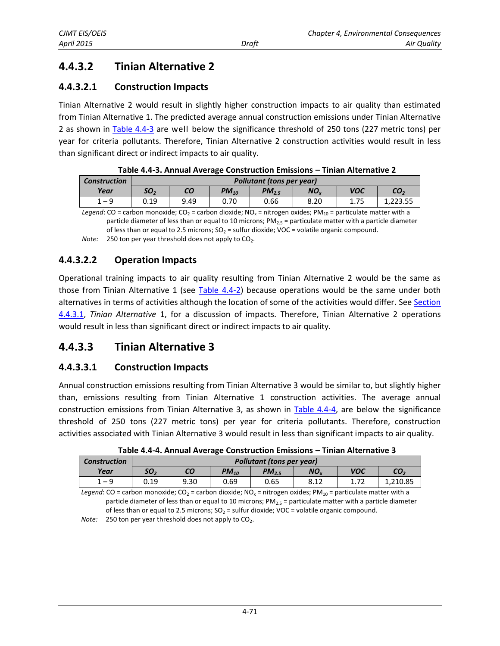## **4.4.3.2 Tinian Alternative 2**

#### **4.4.3.2.1 Construction Impacts**

Tinian Alternative 2 would result in slightly higher construction impacts to air quality than estimated from Tinian Alternative 1. The predicted average annual construction emissions under Tinian Alternative 2 as shown in [Table 4.4-3](#page-6-0) are well below the significance threshold of 250 tons (227 metric tons) per year for criteria pollutants. Therefore, Tinian Alternative 2 construction activities would result in less than significant direct or indirect impacts to air quality.

<span id="page-6-0"></span>

| <b>Construction</b>                                                                                                                             |                 | <b>Pollutant (tons per year)</b> |           |            |                 |            |                 |  |  |  |
|-------------------------------------------------------------------------------------------------------------------------------------------------|-----------------|----------------------------------|-----------|------------|-----------------|------------|-----------------|--|--|--|
| Year                                                                                                                                            | SO <sub>2</sub> | CО                               | $PM_{10}$ | $PM_{2.5}$ | NO <sub>v</sub> | <b>VOC</b> | CO <sub>2</sub> |  |  |  |
| $1 - 9$                                                                                                                                         | 0.19            | 9.49                             | 0.70      | 0.66       | 8.20            | 1.75       | 1.223.55        |  |  |  |
| Legend: CO = carbon monoxide; CO <sub>2</sub> = carbon dioxide; NO <sub>x</sub> = nitrogen oxides; PM <sub>10</sub> = particulate matter with a |                 |                                  |           |            |                 |            |                 |  |  |  |

*Legend*: CO = carbon monoxide; CO<sub>2</sub> = carbon dioxide; NO<sub>x</sub> = nitrogen oxides; PM<sub>10</sub> = particulate matter with a particle diameter of less than or equal to 10 microns; PM<sub>2.5</sub> = particulate matter with a particle diameter of less than or equal to 2.5 microns;  $SO_2$  = sulfur dioxide; VOC = volatile organic compound.

*Note:* 250 ton per year threshold does not apply to CO<sub>2</sub>.

#### **4.4.3.2.2 Operation Impacts**

Operational training impacts to air quality resulting from Tinian Alternative 2 would be the same as those from Tinian Alternative 1 (see [Table 4.4-2\)](#page-5-0) because operations would be the same under both alternatives in terms of activities although the location of some of the activities would differ. See [Section](#page-4-1)  [4.4.3.1,](#page-4-1) *Tinian Alternative* 1, for a discussion of impacts. Therefore, Tinian Alternative 2 operations would result in less than significant direct or indirect impacts to air quality.

### **4.4.3.3 Tinian Alternative 3**

#### **4.4.3.3.1 Construction Impacts**

Annual construction emissions resulting from Tinian Alternative 3 would be similar to, but slightly higher than, emissions resulting from Tinian Alternative 1 construction activities. The average annual construction emissions from Tinian Alternative 3, as shown in [Table 4.4-4,](#page-6-1) are below the significance threshold of 250 tons (227 metric tons) per year for criteria pollutants. Therefore, construction activities associated with Tinian Alternative 3 would result in less than significant impacts to air quality.

| <b>Construction</b> |                 | Pollutant (tons per year)                                             |      |      |      |  |          |  |  |
|---------------------|-----------------|-----------------------------------------------------------------------|------|------|------|--|----------|--|--|
| Year                | SO <sub>2</sub> | <b>VOC</b><br>CO<br>NO.<br>CO <sub>2</sub><br>$PM_{10}$<br>$PM_{2.5}$ |      |      |      |  |          |  |  |
| $1 - 9$             | 0.19            | 9.30                                                                  | 0.69 | 0.65 | 8.12 |  | 1.210.85 |  |  |

<span id="page-6-1"></span>**Table 4.4-4. Annual Average Construction Emissions – Tinian Alternative 3** 

*Legend*: CO = carbon monoxide; CO<sub>2</sub> = carbon dioxide; NO<sub>x</sub> = nitrogen oxides; PM<sub>10</sub> = particulate matter with a particle diameter of less than or equal to 10 microns;  $PM_{2.5}$  = particulate matter with a particle diameter of less than or equal to 2.5 microns;  $SO<sub>2</sub> =$  sulfur dioxide; VOC = volatile organic compound. *Note:* 250 ton per year threshold does not apply to CO<sub>2</sub>.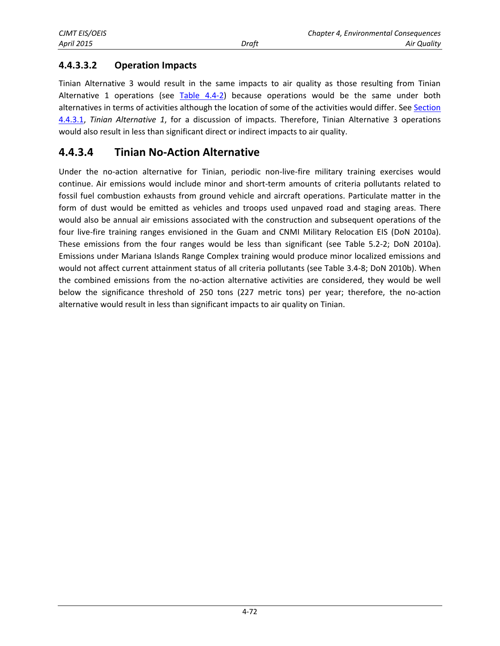### **4.4.3.3.2 Operation Impacts**

Tinian Alternative 3 would result in the same impacts to air quality as those resulting from Tinian Alternative 1 operations (see [Table 4.4-2\)](#page-5-0) because operations would be the same under both alternatives in terms of activities although the location of some of the activities would differ. See [Section](#page-4-1)  [4.4.3.1,](#page-4-1) *Tinian Alternative 1*, for a discussion of impacts. Therefore, Tinian Alternative 3 operations would also result in less than significant direct or indirect impacts to air quality.

### **4.4.3.4 Tinian No-Action Alternative**

Under the no-action alternative for Tinian, periodic non-live-fire military training exercises would continue. Air emissions would include minor and short-term amounts of criteria pollutants related to fossil fuel combustion exhausts from ground vehicle and aircraft operations. Particulate matter in the form of dust would be emitted as vehicles and troops used unpaved road and staging areas. There would also be annual air emissions associated with the construction and subsequent operations of the four live-fire training ranges envisioned in the Guam and CNMI Military Relocation EIS (DoN 2010a). These emissions from the four ranges would be less than significant (see Table 5.2-2; DoN 2010a). Emissions under Mariana Islands Range Complex training would produce minor localized emissions and would not affect current attainment status of all criteria pollutants (see Table 3.4-8; DoN 2010b). When the combined emissions from the no-action alternative activities are considered, they would be well below the significance threshold of 250 tons (227 metric tons) per year; therefore, the no-action alternative would result in less than significant impacts to air quality on Tinian.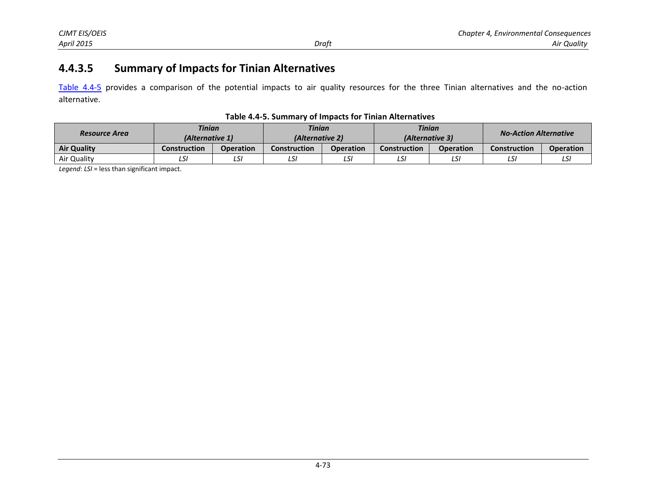### **4.4.3.5 Summary of Impacts for Tinian Alternatives**

[Table 4.4-5](#page-8-0) provides a comparison of the potential impacts to air quality resources for the three Tinian alternatives and the no-action alternative.

<span id="page-8-0"></span>

| Table 4.4-5. Summary of Impacts for Tinian Alternatives |  |  |
|---------------------------------------------------------|--|--|
|---------------------------------------------------------|--|--|

| <b>Resource Area</b> | <b>Tinian</b><br>(Alternative 1) |                  | <b>Tinian</b><br>(Alternative 2) |                  | <b>Tinian</b><br>(Alternative 3) |                  | <b>No-Action Alternative</b> |                  |
|----------------------|----------------------------------|------------------|----------------------------------|------------------|----------------------------------|------------------|------------------------------|------------------|
| <b>Air Quality</b>   | Construction                     | <b>Operation</b> | Construction                     | <b>Operation</b> | <b>Construction</b>              | <b>Operation</b> | <b>Construction</b>          | <b>Operation</b> |
| Air Quality          | LS!                              | LS:              | LSI                              | ◡                | LS!                              | LSI              | ີ                            | LSI              |

*Legend*: *LSI* = less than significant impact.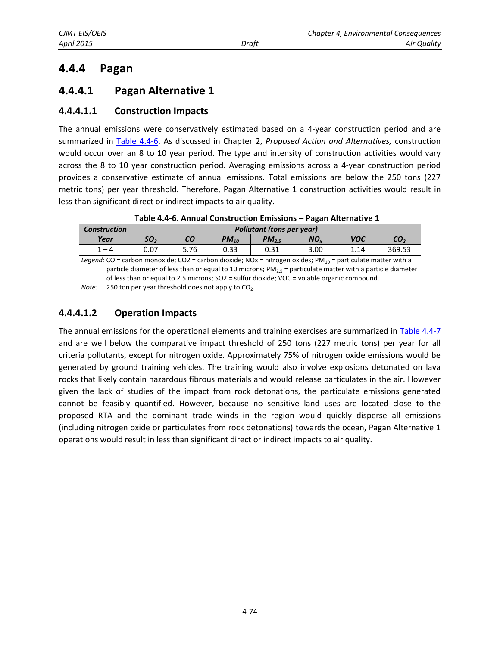# **4.4.4 Pagan**

### <span id="page-9-1"></span>**4.4.4.1 Pagan Alternative 1**

#### **4.4.4.1.1 Construction Impacts**

The annual emissions were conservatively estimated based on a 4-year construction period and are summarized in [Table 4.4-6.](#page-9-0) As discussed in Chapter 2, *Proposed Action and Alternatives,* construction would occur over an 8 to 10 year period. The type and intensity of construction activities would vary across the 8 to 10 year construction period. Averaging emissions across a 4-year construction period provides a conservative estimate of annual emissions. Total emissions are below the 250 tons (227 metric tons) per year threshold. Therefore, Pagan Alternative 1 construction activities would result in less than significant direct or indirect impacts to air quality.

| <b>Construction</b>                |                 | <b>Pollutant (tons per year)</b> |           |           |         |            |                      |  |  |
|------------------------------------|-----------------|----------------------------------|-----------|-----------|---------|------------|----------------------|--|--|
| Year                               | SO <sub>2</sub> | CО                               | $PM_{10}$ | $PM_{25}$ | NO.     | <b>VOC</b> | CO,                  |  |  |
| 1 – 4                              | 0.07            | 5.76                             | 0.33      | 0.31      | 3.00    | 1.14       | 369.53               |  |  |
| $\overline{\phantom{a}}$<br>$\sim$ |                 | $\cdots$                         |           | $\cdot$ . | $- - -$ | .          | $\sim$ $\sim$ $\sim$ |  |  |

<span id="page-9-0"></span>**Table 4.4-6. Annual Construction Emissions – Pagan Alternative 1** 

*Legend:* CO = carbon monoxide; CO2 = carbon dioxide; NOx = nitrogen oxides; PM<sub>10</sub> = particulate matter with a particle diameter of less than or equal to 10 microns;  $PM_{2.5}$  = particulate matter with a particle diameter of less than or equal to 2.5 microns; SO2 = sulfur dioxide; VOC = volatile organic compound.

*Note:* 250 ton per year threshold does not apply to CO<sub>2</sub>.

### **4.4.4.1.2 Operation Impacts**

The annual emissions for the operational elements and training exercises are summarized in [Table 4.4-7](#page-10-0) and are well below the comparative impact threshold of 250 tons (227 metric tons) per year for all criteria pollutants, except for nitrogen oxide. Approximately 75% of nitrogen oxide emissions would be generated by ground training vehicles. The training would also involve explosions detonated on lava rocks that likely contain hazardous fibrous materials and would release particulates in the air. However given the lack of studies of the impact from rock detonations, the particulate emissions generated cannot be feasibly quantified. However, because no sensitive land uses are located close to the proposed RTA and the dominant trade winds in the region would quickly disperse all emissions (including nitrogen oxide or particulates from rock detonations) towards the ocean, Pagan Alternative 1 operations would result in less than significant direct or indirect impacts to air quality.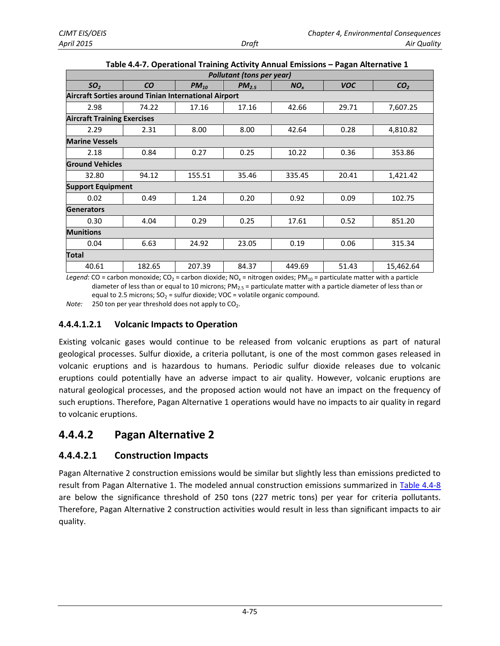|                                                             |           |           | Pollutant (tons per year) |                 |            |                 |
|-------------------------------------------------------------|-----------|-----------|---------------------------|-----------------|------------|-----------------|
| SO <sub>2</sub>                                             | <b>CO</b> | $PM_{10}$ | $PM_{2.5}$                | NO <sub>x</sub> | <b>VOC</b> | CO <sub>2</sub> |
| <b>Aircraft Sorties around Tinian International Airport</b> |           |           |                           |                 |            |                 |
| 2.98                                                        | 74.22     | 17.16     | 17.16                     | 42.66           | 29.71      | 7,607.25        |
| <b>Aircraft Training Exercises</b>                          |           |           |                           |                 |            |                 |
| 2.29                                                        | 2.31      | 8.00      | 8.00                      | 42.64           | 0.28       | 4,810.82        |
| <b>Marine Vessels</b>                                       |           |           |                           |                 |            |                 |
| 2.18                                                        | 0.84      | 0.27      | 0.25                      | 10.22           | 0.36       | 353.86          |
| <b>Ground Vehicles</b>                                      |           |           |                           |                 |            |                 |
| 32.80                                                       | 94.12     | 155.51    | 35.46                     | 335.45          | 20.41      | 1,421.42        |
| <b>Support Equipment</b>                                    |           |           |                           |                 |            |                 |
| 0.02                                                        | 0.49      | 1.24      | 0.20                      | 0.92            | 0.09       | 102.75          |
| <b>Generators</b>                                           |           |           |                           |                 |            |                 |
| 0.30                                                        | 4.04      | 0.29      | 0.25                      | 17.61           | 0.52       | 851.20          |
| <b>Munitions</b>                                            |           |           |                           |                 |            |                 |
| 0.04                                                        | 6.63      | 24.92     | 23.05                     | 0.19            | 0.06       | 315.34          |
| Total                                                       |           |           |                           |                 |            |                 |
| 40.61                                                       | 182.65    | 207.39    | 84.37                     | 449.69          | 51.43      | 15,462.64       |

<span id="page-10-0"></span>

|  | Table 4.4-7. Operational Training Activity Annual Emissions - Pagan Alternative 1 |  |
|--|-----------------------------------------------------------------------------------|--|
|  |                                                                                   |  |

*Legend*: CO = carbon monoxide; CO<sub>2</sub> = carbon dioxide; NO<sub>x</sub> = nitrogen oxides; PM<sub>10</sub> = particulate matter with a particle diameter of less than or equal to 10 microns;  $PM_{2.5}$  = particulate matter with a particle diameter of less than or equal to 2.5 microns;  $SO_2$  = sulfur dioxide; VOC = volatile organic compound.

*Note:* 250 ton per year threshold does not apply to CO<sub>2</sub>.

#### **4.4.4.1.2.1 Volcanic Impacts to Operation**

Existing volcanic gases would continue to be released from volcanic eruptions as part of natural geological processes. Sulfur dioxide, a criteria pollutant, is one of the most common gases released in volcanic eruptions and is hazardous to humans. Periodic sulfur dioxide releases due to volcanic eruptions could potentially have an adverse impact to air quality. However, volcanic eruptions are natural geological processes, and the proposed action would not have an impact on the frequency of such eruptions. Therefore, Pagan Alternative 1 operations would have no impacts to air quality in regard to volcanic eruptions.

### **4.4.4.2 Pagan Alternative 2**

#### **4.4.4.2.1 Construction Impacts**

Pagan Alternative 2 construction emissions would be similar but slightly less than emissions predicted to result from Pagan Alternative 1. The modeled annual construction emissions summarized in [Table 4.4-8](#page-11-0) are below the significance threshold of 250 tons (227 metric tons) per year for criteria pollutants. Therefore, Pagan Alternative 2 construction activities would result in less than significant impacts to air quality.